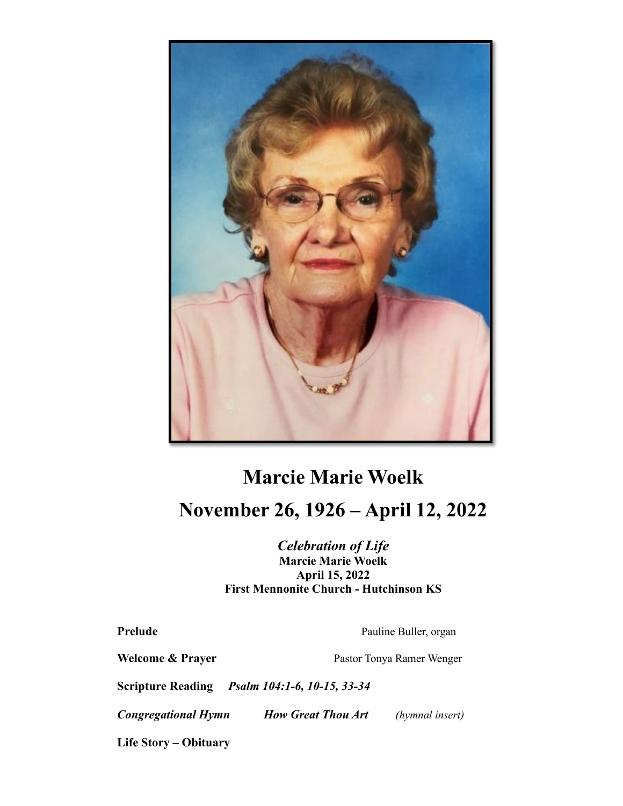

## **Marcie Marie Woelk November 26, 1926 – April 12, 2022**

## *Celebration of Life* **Marcie Marie Woelk April 15, 2022 First Mennonite Church - Hutchinson KS**

**Prelude** Pauline Buller, organ

Welcome & Prayer **Pastor Tonya Ramer Wenger** 

**Scripture Reading** *Psalm 104:1-6, 10-15, 33-34*

*Congregational Hymn How Great Thou Art (hymnal insert)*

**Life Story – Obituary**